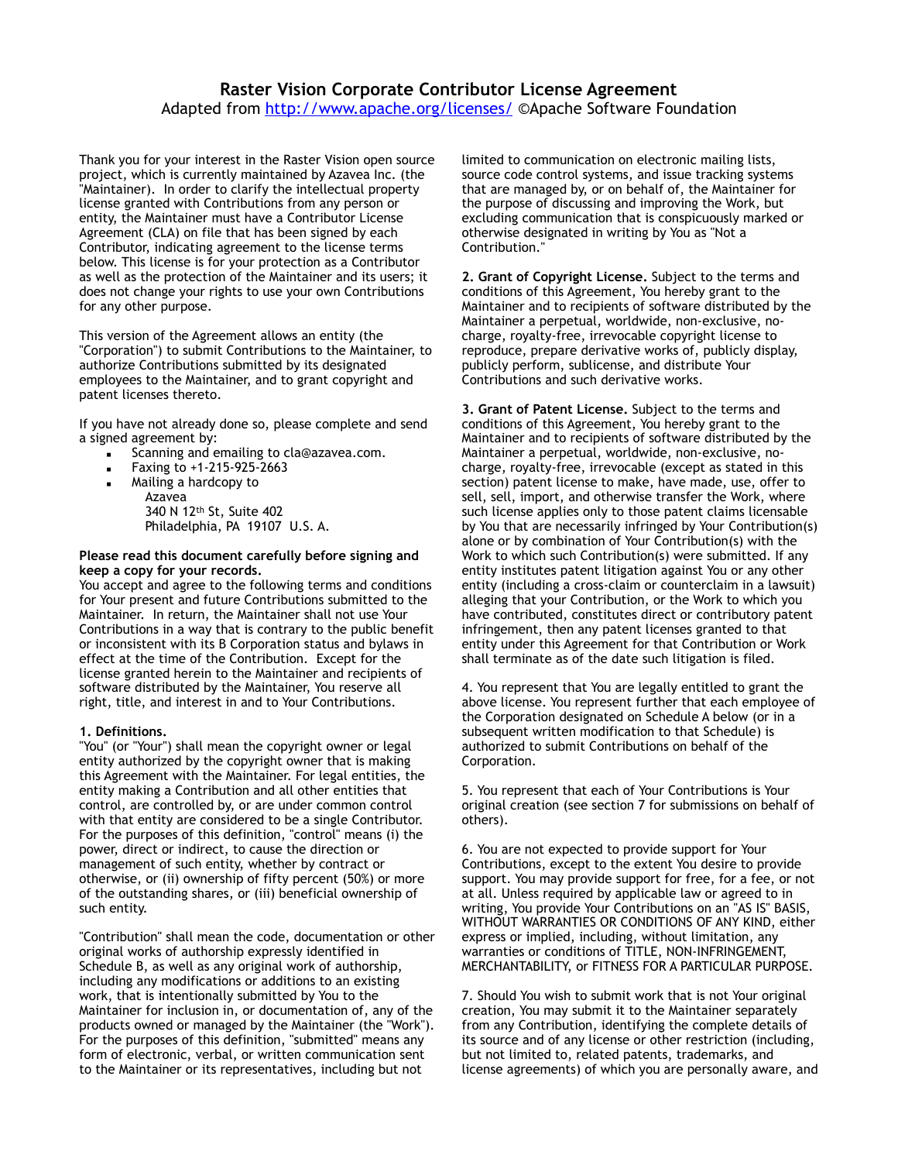### **Raster Vision Corporate Contributor License Agreement**  Adapted from<http://www.apache.org/licenses/> ©Apache Software Foundation

Thank you for your interest in the Raster Vision open source project, which is currently maintained by Azavea Inc. (the "Maintainer). In order to clarify the intellectual property license granted with Contributions from any person or entity, the Maintainer must have a Contributor License Agreement (CLA) on file that has been signed by each Contributor, indicating agreement to the license terms below. This license is for your protection as a Contributor as well as the protection of the Maintainer and its users; it does not change your rights to use your own Contributions for any other purpose.

This version of the Agreement allows an entity (the "Corporation") to submit Contributions to the Maintainer, to authorize Contributions submitted by its designated employees to the Maintainer, and to grant copyright and patent licenses thereto.

If you have not already done so, please complete and send a signed agreement by:

- Scanning and emailing to cla@azavea.com.
- Faxing to +1-215-925-2663
- Mailing a hardcopy to Azavea 340 N 12th St, Suite 402 Philadelphia, PA 19107 U.S. A.

#### **Please read this document carefully before signing and keep a copy for your records.**

You accept and agree to the following terms and conditions for Your present and future Contributions submitted to the Maintainer. In return, the Maintainer shall not use Your Contributions in a way that is contrary to the public benefit or inconsistent with its B Corporation status and bylaws in effect at the time of the Contribution. Except for the license granted herein to the Maintainer and recipients of software distributed by the Maintainer, You reserve all right, title, and interest in and to Your Contributions.

#### **1. Definitions.**

"You" (or "Your") shall mean the copyright owner or legal entity authorized by the copyright owner that is making this Agreement with the Maintainer. For legal entities, the entity making a Contribution and all other entities that control, are controlled by, or are under common control with that entity are considered to be a single Contributor. For the purposes of this definition, "control" means (i) the power, direct or indirect, to cause the direction or management of such entity, whether by contract or otherwise, or (ii) ownership of fifty percent (50%) or more of the outstanding shares, or (iii) beneficial ownership of such entity.

"Contribution" shall mean the code, documentation or other original works of authorship expressly identified in Schedule B, as well as any original work of authorship, including any modifications or additions to an existing work, that is intentionally submitted by You to the Maintainer for inclusion in, or documentation of, any of the products owned or managed by the Maintainer (the "Work"). For the purposes of this definition, "submitted" means any form of electronic, verbal, or written communication sent to the Maintainer or its representatives, including but not

limited to communication on electronic mailing lists, source code control systems, and issue tracking systems that are managed by, or on behalf of, the Maintainer for the purpose of discussing and improving the Work, but excluding communication that is conspicuously marked or otherwise designated in writing by You as "Not a Contribution."

**2. Grant of Copyright License.** Subject to the terms and conditions of this Agreement, You hereby grant to the Maintainer and to recipients of software distributed by the Maintainer a perpetual, worldwide, non-exclusive, nocharge, royalty-free, irrevocable copyright license to reproduce, prepare derivative works of, publicly display, publicly perform, sublicense, and distribute Your Contributions and such derivative works.

**3. Grant of Patent License.** Subject to the terms and conditions of this Agreement, You hereby grant to the Maintainer and to recipients of software distributed by the Maintainer a perpetual, worldwide, non-exclusive, nocharge, royalty-free, irrevocable (except as stated in this section) patent license to make, have made, use, offer to sell, sell, import, and otherwise transfer the Work, where such license applies only to those patent claims licensable by You that are necessarily infringed by Your Contribution(s) alone or by combination of Your Contribution(s) with the Work to which such Contribution(s) were submitted. If any entity institutes patent litigation against You or any other entity (including a cross-claim or counterclaim in a lawsuit) alleging that your Contribution, or the Work to which you have contributed, constitutes direct or contributory patent infringement, then any patent licenses granted to that entity under this Agreement for that Contribution or Work shall terminate as of the date such litigation is filed.

4. You represent that You are legally entitled to grant the above license. You represent further that each employee of the Corporation designated on Schedule A below (or in a subsequent written modification to that Schedule) is authorized to submit Contributions on behalf of the Corporation.

5. You represent that each of Your Contributions is Your original creation (see section 7 for submissions on behalf of others).

6. You are not expected to provide support for Your Contributions, except to the extent You desire to provide support. You may provide support for free, for a fee, or not at all. Unless required by applicable law or agreed to in writing, You provide Your Contributions on an "AS IS" BASIS, WITHOUT WARRANTIES OR CONDITIONS OF ANY KIND, either express or implied, including, without limitation, any warranties or conditions of TITLE, NON-INFRINGEMENT, MERCHANTABILITY, or FITNESS FOR A PARTICULAR PURPOSE.

7. Should You wish to submit work that is not Your original creation, You may submit it to the Maintainer separately from any Contribution, identifying the complete details of its source and of any license or other restriction (including, but not limited to, related patents, trademarks, and license agreements) of which you are personally aware, and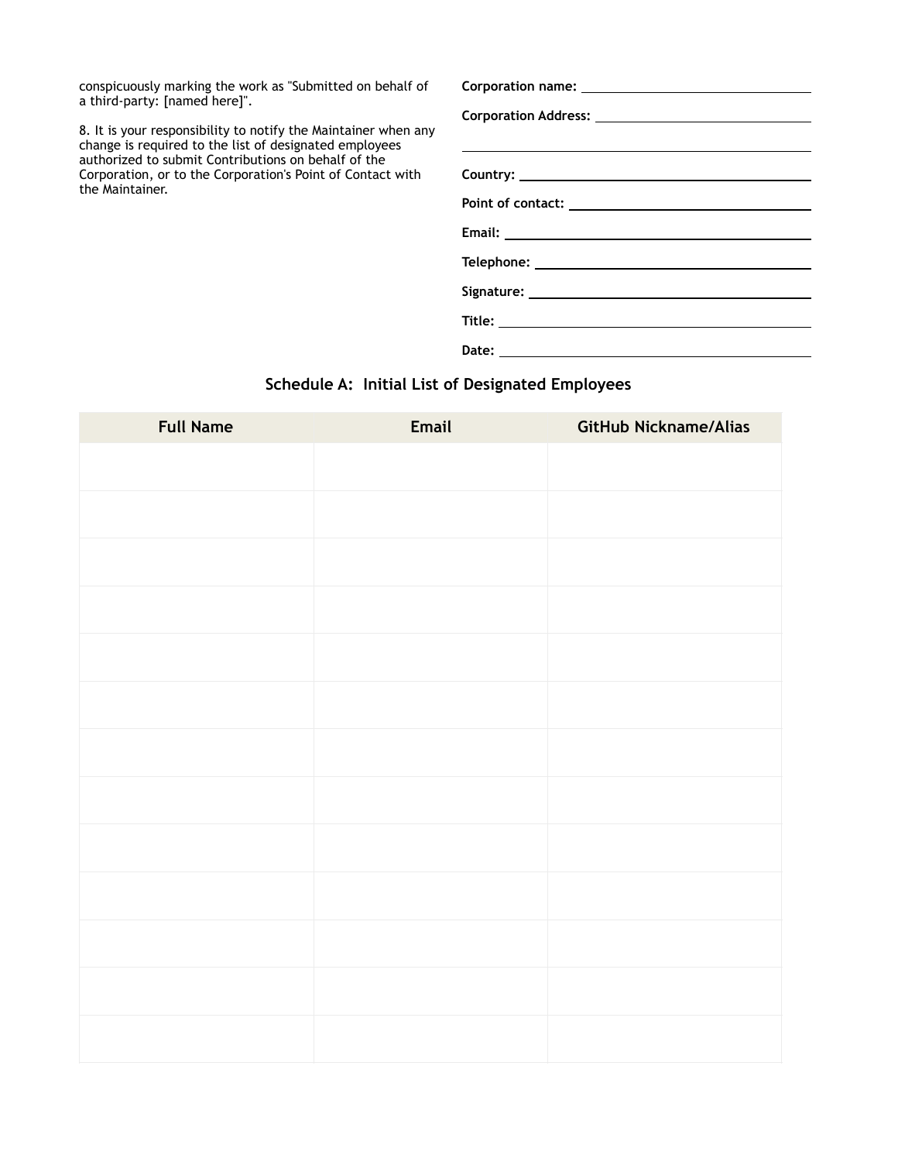conspicuously marking the work as "Submitted on behalf of a third-party: [named here]".

8. It is your responsibility to notify the Maintainer when any change is required to the list of designated employees authorized to submit Contributions on behalf of the Corporation, or to the Corporation's Point of Contact with the Maintainer.

## **Schedule A: Initial List of Designated Employees**

| <b>Full Name</b> | Email | GitHub Nickname/Alias |
|------------------|-------|-----------------------|
|                  |       |                       |
|                  |       |                       |
|                  |       |                       |
|                  |       |                       |
|                  |       |                       |
|                  |       |                       |
|                  |       |                       |
|                  |       |                       |
|                  |       |                       |
|                  |       |                       |
|                  |       |                       |
|                  |       |                       |
|                  |       |                       |